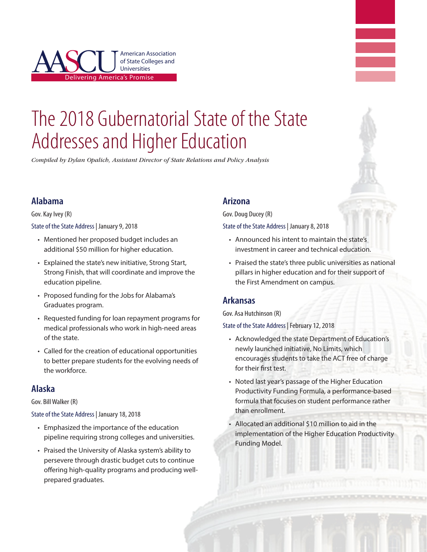



*Compiled by Dylan Opalich, Assistant Director of State Relations and Policy Analysis*

#### **Alabama**

Gov. Kay Ivey (R)

State of the State Address | January 9, 2018

- Mentioned her proposed budget includes an additional \$50 million for higher education.
- Explained the state's new initiative, Strong Start, Strong Finish, that will coordinate and improve the education pipeline.
- • Proposed funding for the Jobs for Alabama's Graduates program.
- Requested funding for loan repayment programs for medical professionals who work in high-need areas of the state.
- Called for the creation of educational opportunities to better prepare students for the evolving needs of the workforce.

#### **Alaska**

#### Gov. Bill Walker (R)

State of the State Address | January 18, 2018

- • Emphasized the importance of the education pipeline requiring strong colleges and universities.
- Praised the University of Alaska system's ability to persevere through drastic budget cuts to continue offering high-quality programs and producing wellprepared graduates.

#### **Arizona**

Gov. Doug Ducey (R)

State of the State Address | January 8, 2018

- Announced his intent to maintain the state's investment in career and technical education.
- Praised the state's three public universities as national pillars in higher education and for their support of the First Amendment on campus.

#### **Arkansas**

Gov. Asa Hutchinson (R)

State of the State Address | February 12, 2018

- • Acknowledged the state Department of Education's newly launched initiative, No Limits, which encourages students to take the ACT free of charge for their first test.
- Noted last year's passage of the Higher Education Productivity Funding Formula, a performance-based formula that focuses on student performance rather than enrollment.
- • Allocated an additional \$10 million to aid in the implementation of the Higher Education Productivity Funding Model.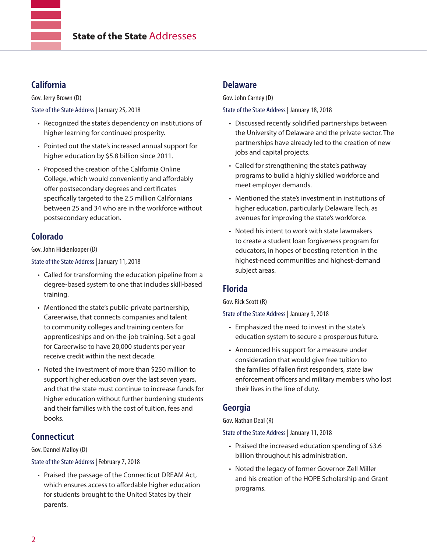## **California**

Gov. Jerry Brown (D)

State of the State Address | January 25, 2018

- Recognized the state's dependency on institutions of higher learning for continued prosperity.
- • Pointed out the state's increased annual support for higher education by \$5.8 billion since 2011.
- Proposed the creation of the California Online College, which would conveniently and affordably offer postsecondary degrees and certificates specifically targeted to the 2.5 million Californians between 25 and 34 who are in the workforce without postsecondary education.

## **Colorado**

Gov. John Hickenlooper (D)

State of the State Address | January 11, 2018

- • Called for transforming the education pipeline from a degree-based system to one that includes skill-based training.
- Mentioned the state's public-private partnership, Careerwise, that connects companies and talent to community colleges and training centers for apprenticeships and on-the-job training. Set a goal for Careerwise to have 20,000 students per year receive credit within the next decade.
- Noted the investment of more than \$250 million to support higher education over the last seven years, and that the state must continue to increase funds for higher education without further burdening students and their families with the cost of tuition, fees and books.

## **Connecticut**

Gov. Dannel Malloy (D)

State of the State Address | February 7, 2018

• Praised the passage of the Connecticut DREAM Act, which ensures access to affordable higher education for students brought to the United States by their parents.

### **Delaware**

Gov. John Carney (D)

State of the State Address | January 18, 2018

- Discussed recently solidified partnerships between the University of Delaware and the private sector. The partnerships have already led to the creation of new jobs and capital projects.
- Called for strengthening the state's pathway programs to build a highly skilled workforce and meet employer demands.
- • Mentioned the state's investment in institutions of higher education, particularly Delaware Tech, as avenues for improving the state's workforce.
- Noted his intent to work with state lawmakers to create a student loan forgiveness program for educators, in hopes of boosting retention in the highest-need communities and highest-demand subject areas.

## **Florida**

Gov. Rick Scott (R)

State of the State Address | January 9, 2018

- • Emphasized the need to invest in the state's education system to secure a prosperous future.
- Announced his support for a measure under consideration that would give free tuition to the families of fallen first responders, state law enforcement officers and military members who lost their lives in the line of duty.

## **Georgia**

Gov. Nathan Deal (R)

State of the State Address | January 11, 2018

- Praised the increased education spending of \$3.6 billion throughout his administration.
- Noted the legacy of former Governor Zell Miller and his creation of the HOPE Scholarship and Grant programs.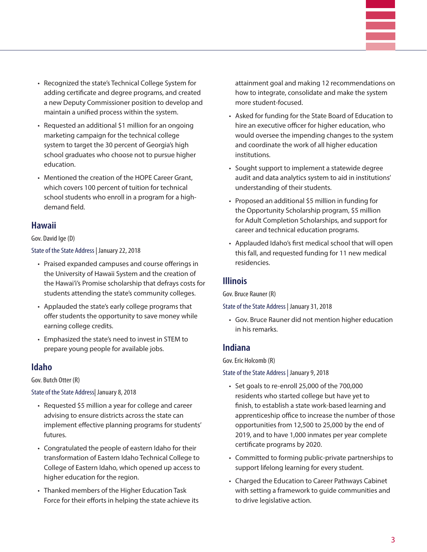- Recognized the state's Technical College System for adding certificate and degree programs, and created a new Deputy Commissioner position to develop and maintain a unified process within the system.
- Requested an additional \$1 million for an ongoing marketing campaign for the technical college system to target the 30 percent of Georgia's high school graduates who choose not to pursue higher education.
- Mentioned the creation of the HOPE Career Grant, which covers 100 percent of tuition for technical school students who enroll in a program for a highdemand field.

#### **Hawaii**

#### Gov. David Ige (D)

State of the State Address | January 22, 2018

- • Praised expanded campuses and course offerings in the University of Hawaii System and the creation of the Hawai'i's Promise scholarship that defrays costs for students attending the state's community colleges.
- • Applauded the state's early college programs that offer students the opportunity to save money while earning college credits.
- • Emphasized the state's need to invest in STEM to prepare young people for available jobs.

#### **Idaho**

Gov. Butch Otter (R)

#### State of the State Address| January 8, 2018

- Requested \$5 million a year for college and career advising to ensure districts across the state can implement effective planning programs for students' futures.
- Congratulated the people of eastern Idaho for their transformation of Eastern Idaho Technical College to College of Eastern Idaho, which opened up access to higher education for the region.
- • Thanked members of the Higher Education Task Force for their efforts in helping the state achieve its

attainment goal and making 12 recommendations on how to integrate, consolidate and make the system more student-focused.

- • Asked for funding for the State Board of Education to hire an executive officer for higher education, who would oversee the impending changes to the system and coordinate the work of all higher education institutions.
- Sought support to implement a statewide degree audit and data analytics system to aid in institutions' understanding of their students.
- Proposed an additional \$5 million in funding for the Opportunity Scholarship program, \$5 million for Adult Completion Scholarships, and support for career and technical education programs.
- Applauded Idaho's first medical school that will open this fall, and requested funding for 11 new medical residencies.

#### **Illinois**

Gov. Bruce Rauner (R)

State of the State Address | January 31, 2018

• Gov. Bruce Rauner did not mention higher education in his remarks.

#### **Indiana**

Gov. Eric Holcomb (R)

State of the State Address | January 9, 2018

- • Set goals to re-enroll 25,000 of the 700,000 residents who started college but have yet to finish, to establish a state work-based learning and apprenticeship office to increase the number of those opportunities from 12,500 to 25,000 by the end of 2019, and to have 1,000 inmates per year complete certificate programs by 2020.
- Committed to forming public-private partnerships to support lifelong learning for every student.
- Charged the Education to Career Pathways Cabinet with setting a framework to guide communities and to drive legislative action.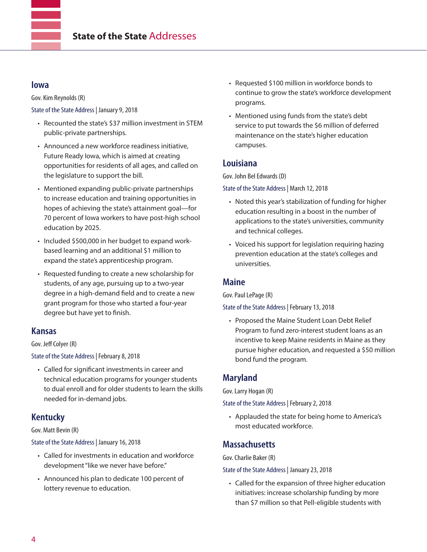#### **Iowa**

Gov. Kim Reynolds (R)

State of the State Address | January 9, 2018

- Recounted the state's \$37 million investment in STEM public-private partnerships.
- Announced a new workforce readiness initiative, Future Ready Iowa, which is aimed at creating opportunities for residents of all ages, and called on the legislature to support the bill.
- Mentioned expanding public-private partnerships to increase education and training opportunities in hopes of achieving the state's attainment goal—for 70 percent of Iowa workers to have post-high school education by 2025.
- Included \$500,000 in her budget to expand workbased learning and an additional \$1 million to expand the state's apprenticeship program.
- Requested funding to create a new scholarship for students, of any age, pursuing up to a two-year degree in a high-demand field and to create a new grant program for those who started a four-year degree but have yet to finish.

## **Kansas**

#### Gov. Jeff Colyer (R)

State of the State Address | February 8, 2018

• Called for significant investments in career and technical education programs for younger students to dual enroll and for older students to learn the skills needed for in-demand jobs.

## **Kentucky**

#### Gov. Matt Bevin (R)

State of the State Address | January 16, 2018

- • Called for investments in education and workforce development "like we never have before."
- • Announced his plan to dedicate 100 percent of lottery revenue to education.
- Requested \$100 million in workforce bonds to continue to grow the state's workforce development programs.
- • Mentioned using funds from the state's debt service to put towards the \$6 million of deferred maintenance on the state's higher education campuses.

#### **Louisiana**

Gov. John Bel Edwards (D)

State of the State Address | March 12, 2018

- Noted this year's stabilization of funding for higher education resulting in a boost in the number of applications to the state's universities, community and technical colleges.
- Voiced his support for legislation requiring hazing prevention education at the state's colleges and universities.

#### **Maine**

Gov. Paul LePage (R)

State of the State Address | February 13, 2018

• Proposed the Maine Student Loan Debt Relief Program to fund zero-interest student loans as an incentive to keep Maine residents in Maine as they pursue higher education, and requested a \$50 million bond fund the program.

## **Maryland**

Gov. Larry Hogan (R)

State of the State Address | February 2, 2018

• Applauded the state for being home to America's most educated workforce.

#### **Massachusetts**

Gov. Charlie Baker (R)

State of the State Address | January 23, 2018

• Called for the expansion of three higher education initiatives: increase scholarship funding by more than \$7 million so that Pell-eligible students with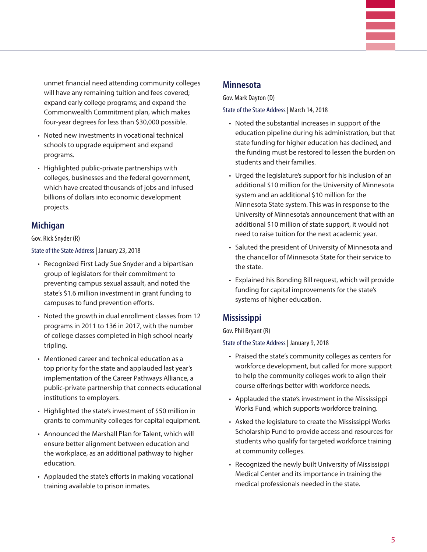unmet financial need attending community colleges will have any remaining tuition and fees covered; expand early college programs; and expand the Commonwealth Commitment plan, which makes four-year degrees for less than \$30,000 possible.

- Noted new investments in vocational technical schools to upgrade equipment and expand programs.
- • Highlighted public-private partnerships with colleges, businesses and the federal government, which have created thousands of jobs and infused billions of dollars into economic development projects.

## **Michigan**

Gov. Rick Snyder (R)

State of the State Address | January 23, 2018

- Recognized First Lady Sue Snyder and a bipartisan group of legislators for their commitment to preventing campus sexual assault, and noted the state's \$1.6 million investment in grant funding to campuses to fund prevention efforts.
- Noted the growth in dual enrollment classes from 12 programs in 2011 to 136 in 2017, with the number of college classes completed in high school nearly tripling.
- Mentioned career and technical education as a top priority for the state and applauded last year's implementation of the Career Pathways Alliance, a public-private partnership that connects educational institutions to employers.
- Highlighted the state's investment of \$50 million in grants to community colleges for capital equipment.
- • Announced the Marshall Plan for Talent, which will ensure better alignment between education and the workplace, as an additional pathway to higher education.
- Applauded the state's efforts in making vocational training available to prison inmates.

#### **Minnesota**

Gov. Mark Dayton (D)

State of the State Address | March 14, 2018

- Noted the substantial increases in support of the education pipeline during his administration, but that state funding for higher education has declined, and the funding must be restored to lessen the burden on students and their families.
- Urged the legislature's support for his inclusion of an additional \$10 million for the University of Minnesota system and an additional \$10 million for the Minnesota State system. This was in response to the University of Minnesota's announcement that with an additional \$10 million of state support, it would not need to raise tuition for the next academic year.
- • Saluted the president of University of Minnesota and the chancellor of Minnesota State for their service to the state.
- • Explained his Bonding Bill request, which will provide funding for capital improvements for the state's systems of higher education.

## **Mississippi**

Gov. Phil Bryant (R)

State of the State Address | January 9, 2018

- • Praised the state's community colleges as centers for workforce development, but called for more support to help the community colleges work to align their course offerings better with workforce needs.
- • Applauded the state's investment in the Mississippi Works Fund, which supports workforce training.
- Asked the legislature to create the Mississippi Works Scholarship Fund to provide access and resources for students who qualify for targeted workforce training at community colleges.
- Recognized the newly built University of Mississippi Medical Center and its importance in training the medical professionals needed in the state.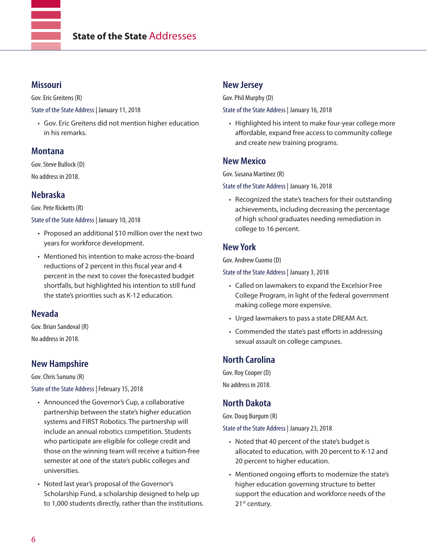#### **Missouri**

Gov. Eric Greitens (R)

State of the State Address | January 11, 2018

• Gov. Eric Greitens did not mention higher education in his remarks.

#### **Montana**

Gov. Steve Bullock (D) No address in 2018.

## **Nebraska**

Gov. Pete Ricketts (R)

State of the State Address | January 10, 2018

- Proposed an additional \$10 million over the next two years for workforce development.
- Mentioned his intention to make across-the-board reductions of 2 percent in this fiscal year and 4 percent in the next to cover the forecasted budget shortfalls, but highlighted his intention to still fund the state's priorities such as K-12 education.

## **Nevada**

Gov. Brian Sandoval (R) No address in 2018.

## **New Hampshire**

Gov. Chris Sununu (R)

State of the State Address | February 15, 2018

- Announced the Governor's Cup, a collaborative partnership between the state's higher education systems and FIRST Robotics. The partnership will include an annual robotics competition. Students who participate are eligible for college credit and those on the winning team will receive a tuition-free semester at one of the state's public colleges and universities.
- Noted last year's proposal of the Governor's Scholarship Fund, a scholarship designed to help up to 1,000 students directly, rather than the institutions.

#### **New Jersey**

Gov. Phil Murphy (D)

State of the State Address | January 16, 2018

• Highlighted his intent to make four-year college more affordable, expand free access to community college and create new training programs.

## **New Mexico**

Gov. Susana Martinez (R)

State of the State Address | January 16, 2018

• Recognized the state's teachers for their outstanding achievements, including decreasing the percentage of high school graduates needing remediation in college to 16 percent.

## **New York**

Gov. Andrew Cuomo (D)

State of the State Address | January 3, 2018

- • Called on lawmakers to expand the Excelsior Free College Program, in light of the federal government making college more expensive.
- Urged lawmakers to pass a state DREAM Act.
- Commended the state's past efforts in addressing sexual assault on college campuses.

# **North Carolina**

Gov. Roy Cooper (D) No address in 2018.

## **North Dakota**

Gov. Doug Burgum (R)

State of the State Address | January 23, 2018

- Noted that 40 percent of the state's budget is allocated to education, with 20 percent to K-12 and 20 percent to higher education.
- Mentioned ongoing efforts to modernize the state's higher education governing structure to better support the education and workforce needs of the 21<sup>st</sup> century.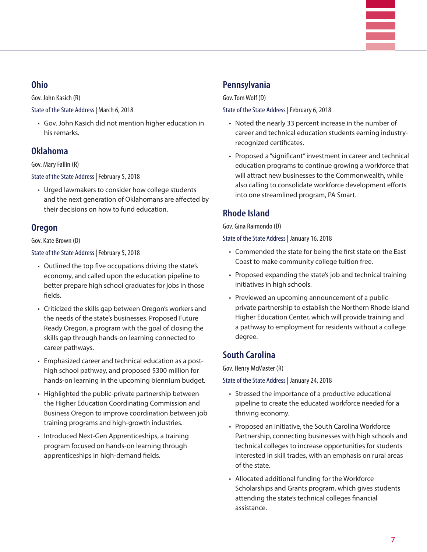#### **Ohio**

Gov. John Kasich (R)

State of the State Address | March 6, 2018

• Gov. John Kasich did not mention higher education in his remarks.

## **Oklahoma**

Gov. Mary Fallin (R)

State of the State Address | February 5, 2018

• Urged lawmakers to consider how college students and the next generation of Oklahomans are affected by their decisions on how to fund education.

## **Oregon**

#### Gov. Kate Brown (D)

State of the State Address | February 5, 2018

- Outlined the top five occupations driving the state's economy, and called upon the education pipeline to better prepare high school graduates for jobs in those fields.
- Criticized the skills gap between Oregon's workers and the needs of the state's businesses. Proposed Future Ready Oregon, a program with the goal of closing the skills gap through hands-on learning connected to career pathways.
- Emphasized career and technical education as a posthigh school pathway, and proposed \$300 million for hands-on learning in the upcoming biennium budget.
- Highlighted the public-private partnership between the Higher Education Coordinating Commission and Business Oregon to improve coordination between job training programs and high-growth industries.
- Introduced Next-Gen Apprenticeships, a training program focused on hands-on learning through apprenticeships in high-demand fields.

## **Pennsylvania**

Gov. Tom Wolf (D)

State of the State Address | February 6, 2018

- Noted the nearly 33 percent increase in the number of career and technical education students earning industryrecognized certificates.
- Proposed a "significant" investment in career and technical education programs to continue growing a workforce that will attract new businesses to the Commonwealth, while also calling to consolidate workforce development efforts into one streamlined program, PA Smart.

# **Rhode Island**

Gov. Gina Raimondo (D)

State of the State Address | January 16, 2018

- • Commended the state for being the first state on the East Coast to make community college tuition free.
- Proposed expanding the state's job and technical training initiatives in high schools.
- Previewed an upcoming announcement of a publicprivate partnership to establish the Northern Rhode Island Higher Education Center, which will provide training and a pathway to employment for residents without a college degree.

## **South Carolina**

Gov. Henry McMaster (R)

State of the State Address | January 24, 2018

- Stressed the importance of a productive educational pipeline to create the educated workforce needed for a thriving economy.
- Proposed an initiative, the South Carolina Workforce Partnership, connecting businesses with high schools and technical colleges to increase opportunities for students interested in skill trades, with an emphasis on rural areas of the state.
- • Allocated additional funding for the Workforce Scholarships and Grants program, which gives students attending the state's technical colleges financial assistance.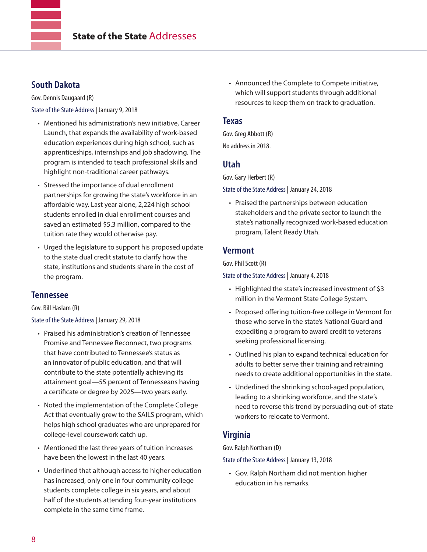### **South Dakota**

Gov. Dennis Daugaard (R)

State of the State Address | January 9, 2018

- Mentioned his administration's new initiative, Career Launch, that expands the availability of work-based education experiences during high school, such as apprenticeships, internships and job shadowing. The program is intended to teach professional skills and highlight non-traditional career pathways.
- Stressed the importance of dual enrollment partnerships for growing the state's workforce in an affordable way. Last year alone, 2,224 high school students enrolled in dual enrollment courses and saved an estimated \$5.3 million, compared to the tuition rate they would otherwise pay.
- Urged the legislature to support his proposed update to the state dual credit statute to clarify how the state, institutions and students share in the cost of the program.

#### **Tennessee**

Gov. Bill Haslam (R)

State of the State Address | January 29, 2018

- Praised his administration's creation of Tennessee Promise and Tennessee Reconnect, two programs that have contributed to Tennessee's status as an innovator of public education, and that will contribute to the state potentially achieving its attainment goal—55 percent of Tennesseans having a certificate or degree by 2025—two years early.
- Noted the implementation of the Complete College Act that eventually grew to the SAILS program, which helps high school graduates who are unprepared for college-level coursework catch up.
- Mentioned the last three years of tuition increases have been the lowest in the last 40 years.
- Underlined that although access to higher education has increased, only one in four community college students complete college in six years, and about half of the students attending four-year institutions complete in the same time frame.

• Announced the Complete to Compete initiative, which will support students through additional resources to keep them on track to graduation.

#### **Texas**

Gov. Greg Abbott (R) No address in 2018.

## **Utah**

Gov. Gary Herbert (R)

State of the State Address | January 24, 2018

• Praised the partnerships between education stakeholders and the private sector to launch the state's nationally recognized work-based education program, Talent Ready Utah.

#### **Vermont**

Gov. Phil Scott (R)

State of the State Address | January 4, 2018

- Highlighted the state's increased investment of \$3 million in the Vermont State College System.
- Proposed offering tuition-free college in Vermont for those who serve in the state's National Guard and expediting a program to award credit to veterans seeking professional licensing.
- Outlined his plan to expand technical education for adults to better serve their training and retraining needs to create additional opportunities in the state.
- Underlined the shrinking school-aged population, leading to a shrinking workforce, and the state's need to reverse this trend by persuading out-of-state workers to relocate to Vermont.

## **Virginia**

Gov. Ralph Northam (D)

State of the State Address | January 13, 2018

• Gov. Ralph Northam did not mention higher education in his remarks.